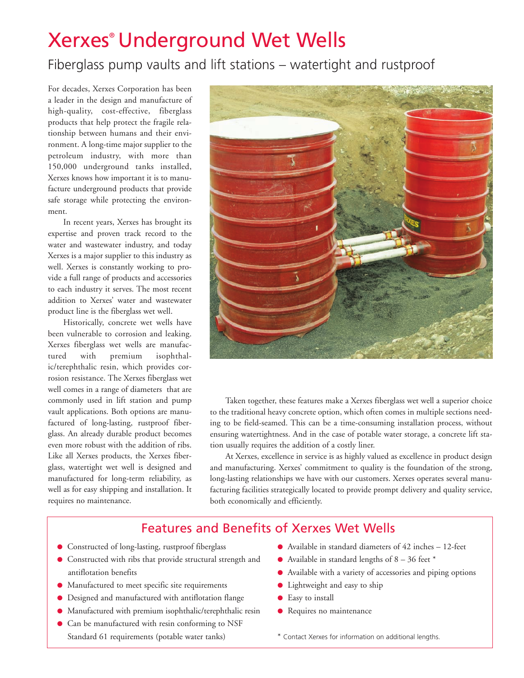# Xerxes® Underground Wet Wells

# Fiberglass pump vaults and lift stations – watertight and rustproof

For decades, Xerxes Corporation has been a leader in the design and manufacture of high-quality, cost-effective, fiberglass products that help protect the fragile relationship between humans and their environment. A long-time major supplier to the petroleum industry, with more than 150,000 underground tanks installed, Xerxes knows how important it is to manufacture underground products that provide safe storage while protecting the environment.

In recent years, Xerxes has brought its expertise and proven track record to the water and wastewater industry, and today Xerxes is a major supplier to this industry as well. Xerxes is constantly working to provide a full range of products and accessories to each industry it serves. The most recent addition to Xerxes' water and wastewater product line is the fiberglass wet well.

Historically, concrete wet wells have been vulnerable to corrosion and leaking. Xerxes fiberglass wet wells are manufactured with premium isophthalic/terephthalic resin, which provides corrosion resistance. The Xerxes fiberglass wet well comes in a range of diameters that are commonly used in lift station and pump vault applications. Both options are manufactured of long-lasting, rustproof fiberglass. An already durable product becomes even more robust with the addition of ribs. Like all Xerxes products, the Xerxes fiberglass, watertight wet well is designed and manufactured for long-term reliability, as well as for easy shipping and installation. It requires no maintenance.



Taken together, these features make a Xerxes fiberglass wet well a superior choice to the traditional heavy concrete option, which often comes in multiple sections needing to be field-seamed. This can be a time-consuming installation process, without ensuring watertightness. And in the case of potable water storage, a concrete lift station usually requires the addition of a costly liner.

At Xerxes, excellence in service is as highly valued as excellence in product design and manufacturing. Xerxes' commitment to quality is the foundation of the strong, long-lasting relationships we have with our customers. Xerxes operates several manufacturing facilities strategically located to provide prompt delivery and quality service, both economically and efficiently.

# Features and Benefits of Xerxes Wet Wells

- Constructed of long-lasting, rustproof fiberglass
- Constructed with ribs that provide structural strength and antiflotation benefits
- Manufactured to meet specific site requirements
- Designed and manufactured with antiflotation flange
- Manufactured with premium isophthalic/terephthalic resin
- Can be manufactured with resin conforming to NSF Standard 61 requirements (potable water tanks)
- Available in standard diameters of 42 inches 12-feet
- $\bullet$  Available in standard lengths of 8 36 feet  $*$
- Available with a variety of accessories and piping options
- Lightweight and easy to ship
- Easy to install
- Requires no maintenance
- \* Contact Xerxes for information on additional lengths.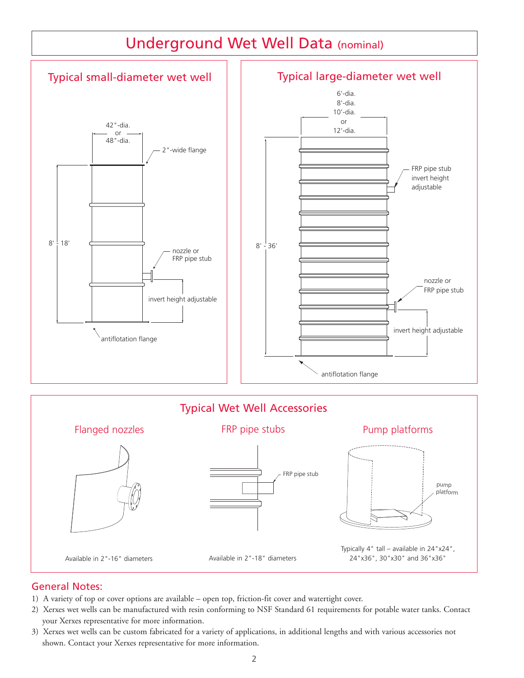

## General Notes:

- 1) A variety of top or cover options are available open top, friction-fit cover and watertight cover.
- 2) Xerxes wet wells can be manufactured with resin conforming to NSF Standard 61 requirements for potable water tanks. Contact your Xerxes representative for more information.
- 3) Xerxes wet wells can be custom fabricated for a variety of applications, in additional lengths and with various accessories not shown. Contact your Xerxes representative for more information.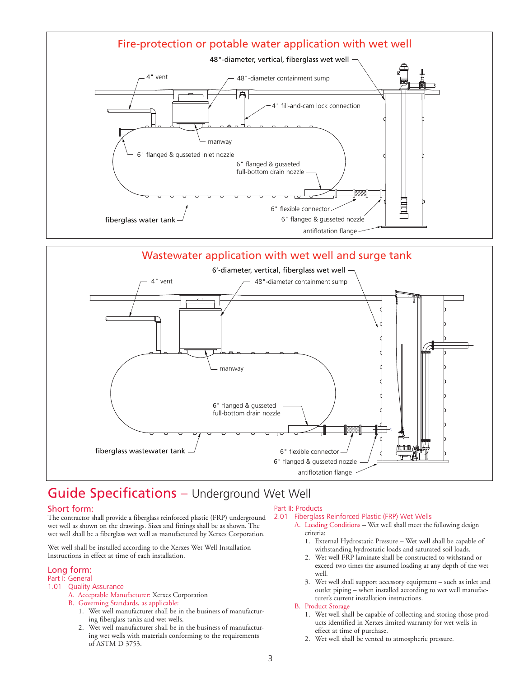



# Guide Specifications – Underground Wet Well

### Short form:

The contractor shall provide a fiberglass reinforced plastic (FRP) underground wet well as shown on the drawings. Sizes and fittings shall be as shown. The wet well shall be a fiberglass wet well as manufactured by Xerxes Corporation.

Wet well shall be installed according to the Xerxes Wet Well Installation Instructions in effect at time of each installation.

### Long form:

### Part I: General

- 1.01 Quality Assurance
	- A. Acceptable Manufacturer: Xerxes Corporation
	- B. Governing Standards, as applicable:
		- 1. Wet well manufacturer shall be in the business of manufacturing fiberglass tanks and wet wells.
		- 2. Wet well manufacturer shall be in the business of manufacturing wet wells with materials conforming to the requirements of ASTM D 3753.

#### Part II: Products

#### 2.01 Fiberglass Reinforced Plastic (FRP) Wet Wells

- A. Loading Conditions Wet well shall meet the following design criteria:
	- 1. External Hydrostatic Pressure Wet well shall be capable of withstanding hydrostatic loads and saturated soil loads.
	- 2. Wet well FRP laminate shall be constructed to withstand or exceed two times the assumed loading at any depth of the wet well.
	- 3. Wet well shall support accessory equipment such as inlet and outlet piping – when installed according to wet well manufacturer's current installation instructions.

### B. Product Storage

- 1. Wet well shall be capable of collecting and storing those products identified in Xerxes limited warranty for wet wells in effect at time of purchase.
- 2. Wet well shall be vented to atmospheric pressure.